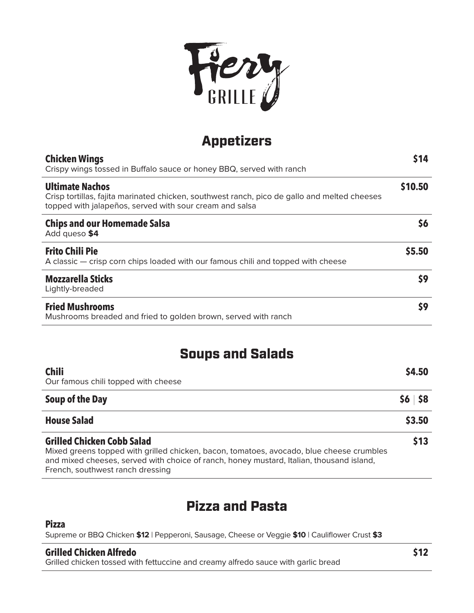

# Appetizers

| <b>Chicken Wings</b><br>Crispy wings tossed in Buffalo sauce or honey BBQ, served with ranch                                                                                      | \$14    |
|-----------------------------------------------------------------------------------------------------------------------------------------------------------------------------------|---------|
| <b>Ultimate Nachos</b><br>Crisp tortillas, fajita marinated chicken, southwest ranch, pico de gallo and melted cheeses<br>topped with jalapeños, served with sour cream and salsa | \$10.50 |
| <b>Chips and our Homemade Salsa</b><br>Add queso \$4                                                                                                                              | 56      |
| <b>Frito Chili Pie</b><br>A classic — crisp corn chips loaded with our famous chili and topped with cheese                                                                        | \$5.50  |
| <b>Mozzarella Sticks</b><br>Lightly-breaded                                                                                                                                       | \$9     |
| <b>Fried Mushrooms</b><br>Mushrooms breaded and fried to golden brown, served with ranch                                                                                          | \$9     |

## Soups and Salads

| <b>Chili</b><br>Our famous chili topped with cheese                                                                                                                                                                                                           |             |
|---------------------------------------------------------------------------------------------------------------------------------------------------------------------------------------------------------------------------------------------------------------|-------------|
| Soup of the Day                                                                                                                                                                                                                                               | $56$ $58$   |
| <b>House Salad</b>                                                                                                                                                                                                                                            | \$3.50      |
| <b>Grilled Chicken Cobb Salad</b><br>Mixed greens topped with grilled chicken, bacon, tomatoes, avocado, blue cheese crumbles<br>and mixed cheeses, served with choice of ranch, honey mustard, Italian, thousand island,<br>French, southwest ranch dressing | <b>\$13</b> |

### Pizza and Pasta

#### **Pizza**

Supreme or BBQ Chicken **\$12** | Pepperoni, Sausage, Cheese or Veggie **\$10** | Cauliflower Crust **\$3**

#### **Grilled Chicken Alfredo**

Grilled chicken tossed with fettuccine and creamy alfredo sauce with garlic bread